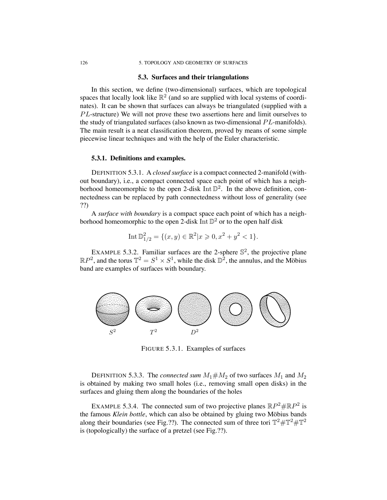#### 126 5. TOPOLOGY AND GEOMETRY OF SURFACES

#### **5.3. Surfaces and their triangulations**

In this section, we define (two-dimensional) surfaces, which are topological spaces that locally look like  $\mathbb{R}^2$  (and so are supplied with local systems of coordinates). It can be shown that surfaces can always be triangulated (supplied with a PL-structure) We will not prove these two assertions here and limit ourselves to the study of triangulated surfaces (also known as two-dimensional  $PL$ -manifolds). The main result is a neat classification theorem, proved by means of some simple piecewise linear techniques and with the help of the Euler characteristic.

### **5.3.1. Definitions and examples.**

DEFINITION 5.3.1. A *closed surface* is a compact connected 2-manifold (without boundary), i.e., a compact connected space each point of which has a neighborhood homeomorphic to the open 2-disk Int  $\mathbb{D}^2$ . In the above definition, connectedness can be replaced by path connectedness without loss of generality (see ??)

A *surface with boundary* is a compact space each point of which has a neighborhood homeomorphic to the open 2-disk Int  $\mathbb{D}^2$  or to the open half disk

Int 
$$
\mathbb{D}_{1/2}^2 = \{(x, y) \in \mathbb{R}^2 | x \geqslant 0, x^2 + y^2 < 1\}.
$$

EXAMPLE 5.3.2. Familiar surfaces are the 2-sphere  $\mathbb{S}^2$ , the projective plane  $\mathbb{R}P^2$ , and the torus  $\mathbb{T}^2 = S^1 \times S^1$ , while the disk  $\mathbb{D}^2$ , the annulus, and the Möbius band are examples of surfaces with boundary.



FIGURE 5.3.1. Examples of surfaces

DEFINITION 5.3.3. The *connected* sum  $M_1 \# M_2$  of two surfaces  $M_1$  and  $M_2$ is obtained by making two small holes (i.e., removing small open disks) in the surfaces and gluing them along the boundaries of the holes

EXAMPLE 5.3.4. The connected sum of two projective planes  $\mathbb{R}P^2 \# \mathbb{R}P^2$  is the famous *Klein bottle*, which can also be obtained by gluing two Möbius bands along their boundaries (see Fig.??). The connected sum of three tori  $\mathbb{T}^2 \# \mathbb{T}^2 \# \mathbb{T}^2$ is (topologically) the surface of a pretzel (see Fig.??).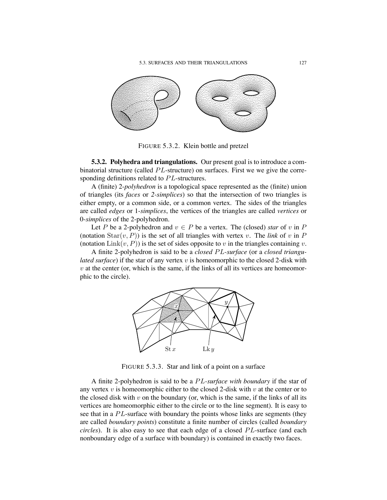

FIGURE 5.3.2. Klein bottle and pretzel

**5.3.2. Polyhedra and triangulations.** Our present goal is to introduce a combinatorial structure (called PL-structure) on surfaces. First we we give the corresponding definitions related to PL-structures.

A (finite) 2-*polyhedron* is a topological space represented as the (finite) union of triangles (its *faces* or *2-simplices*) so that the intersection of two triangles is either empty, or a common side, or a common vertex. The sides of the triangles are called *edges* or 1-*simplices*, the vertices of the triangles are called *vertices* or 0-*simplices* of the 2-polyhedron.

Let P be a 2-polyhedron and  $v \in P$  be a vertex. The (closed) *star* of v in P (notation  $Star(v, P)$ ) is the set of all triangles with vertex v. The *link* of v in P (notation  $\text{Link}(v, P)$ ) is the set of sides opposite to v in the triangles containing v.

A finite 2-polyhedron is said to be a *closed* PL*-surface* (or a *closed triangulated surface*) if the star of any vertex v is homeomorphic to the closed 2-disk with  $v$  at the center (or, which is the same, if the links of all its vertices are homeomorphic to the circle).



FIGURE 5.3.3. Star and link of a point on a surface

A finite 2-polyhedron is said to be a PL*-surface with boundary* if the star of any vertex  $v$  is homeomorphic either to the closed 2-disk with  $v$  at the center or to the closed disk with  $v$  on the boundary (or, which is the same, if the links of all its vertices are homeomorphic either to the circle or to the line segment). It is easy to see that in a PL-surface with boundary the points whose links are segments (they are called *boundary points*) constitute a finite number of circles (called *boundary circles*). It is also easy to see that each edge of a closed PL-surface (and each nonboundary edge of a surface with boundary) is contained in exactly two faces.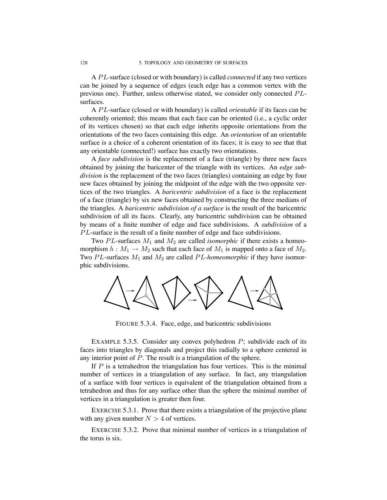A PL-surface (closed or with boundary) is called *connected* if any two vertices can be joined by a sequence of edges (each edge has a common vertex with the previous one). Further, unless otherwise stated, we consider only connected PLsurfaces.

A PL-surface (closed or with boundary) is called *orientable* if its faces can be coherently oriented; this means that each face can be oriented (i.e., a cyclic order of its vertices chosen) so that each edge inherits opposite orientations from the orientations of the two faces containing this edge. An *orientation* of an orientable surface is a choice of a coherent orientation of its faces; it is easy to see that that any orientable (connected!) surface has exactly two orientations.

A *face subdivision* is the replacement of a face (triangle) by three new faces obtained by joining the baricenter of the triangle with its vertices. An *edge subdivision* is the replacement of the two faces (triangles) containing an edge by four new faces obtained by joining the midpoint of the edge with the two opposite vertices of the two triangles. A *baricentric subdivision* of a face is the replacement of a face (triangle) by six new faces obtained by constructing the three medians of the triangles. A *baricentric subdivision of a surface* is the result of the baricentric subdivision of all its faces. Clearly, any baricentric subdivision can be obtained by means of a finite number of edge and face subdivisions. A *subdivision* of a PL-surface is the result of a finite number of edge and face subdivisions.

Two  $PL$ -surfaces  $M_1$  and  $M_2$  are called *isomorphic* if there exists a homeomorphism  $h : M_1 \to M_2$  such that each face of  $M_1$  is mapped onto a face of  $M_2$ . Two PL-surfaces  $M_1$  and  $M_2$  are called PL-homeomorphic if they have isomorphic subdivisions.



FIGURE 5.3.4. Face, edge, and baricentric subdivisions

EXAMPLE 5.3.5. Consider any convex polyhedron  $P$ ; subdivide each of its faces into triangles by diagonals and project this radially to a sphere centered in any interior point of P. The result is a triangulation of the sphere.

If  *is a tetrahedron the triangulation has four vertices. This is the minimal* number of vertices in a triangulation of any surface. In fact, any triangulation of a surface with four vertices is equivalent of the triangulation obtained from a tetrahedron and thus for any surface other than the sphere the minimal number of vertices in a triangulation is greater then four.

EXERCISE 5.3.1. Prove that there exists a triangulation of the projective plane with any given number  $N > 4$  of vertices.

EXERCISE 5.3.2. Prove that minimal number of vertices in a triangulation of the torus is six.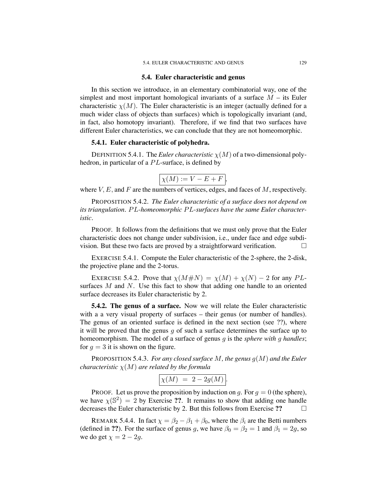#### **5.4. Euler characteristic and genus**

In this section we introduce, in an elementary combinatorial way, one of the simplest and most important homological invariants of a surface  $M$  – its Euler characteristic  $\chi(M)$ . The Euler characteristic is an integer (actually defined for a much wider class of objects than surfaces) which is topologically invariant (and, in fact, also homotopy invariant). Therefore, if we find that two surfaces have different Euler characteristics, we can conclude that they are not homeomorphic.

### **5.4.1. Euler characteristic of polyhedra.**

DEFINITION 5.4.1. The *Euler characteristic*  $\chi(M)$  of a two-dimensional polyhedron, in particular of a PL-surface, is defined by

$$
\chi(M) := V - E + F,
$$

where  $V, E$ , and  $F$  are the numbers of vertices, edges, and faces of  $M$ , respectively.

PROPOSITION 5.4.2. *The Euler characteristic of a surface does not depend on its triangulation.* PL*-homeomorphic* PL*-surfaces have the same Euler characteristic.*

PROOF. It follows from the definitions that we must only prove that the Euler characteristic does not change under subdivision, i.e., under face and edge subdivision. But these two facts are proved by a straightforward verification.  $\Box$ 

EXERCISE 5.4.1. Compute the Euler characteristic of the 2-sphere, the 2-disk, the projective plane and the 2-torus.

EXERCISE 5.4.2. Prove that  $\chi(M \# N) = \chi(M) + \chi(N) - 2$  for any PLsurfaces  $M$  and  $N$ . Use this fact to show that adding one handle to an oriented surface decreases its Euler characteristic by 2.

**5.4.2. The genus of a surface.** Now we will relate the Euler characteristic with a a very visual property of surfaces – their genus (or number of handles). The genus of an oriented surface is defined in the next section (see ??), where it will be proved that the genus q of such a surface determines the surface up to homeomorphism. The model of a surface of genus g is the *sphere with* g *handles*; for  $q = 3$  it is shown on the figure.

PROPOSITION 5.4.3. *For any closed surface* M*, the genus* g(M) *and the Euler characteristic*  $\chi(M)$  *are related by the formula* 

$$
\chi(M) \ = \ 2 - 2g(M) \, .
$$

PROOF. Let us prove the proposition by induction on g. For  $g = 0$  (the sphere), we have  $\chi(\mathbb{S}^2) = 2$  by Exercise ??. It remains to show that adding one handle decreases the Euler characteristic by 2. But this follows from Exercise ??

REMARK 5.4.4. In fact  $\chi = \beta_2 - \beta_1 + \beta_0$ , where the  $\beta_i$  are the Betti numbers (defined in **??**). For the surface of genus g, we have  $\beta_0 = \beta_2 = 1$  and  $\beta_1 = 2g$ , so we do get  $\chi = 2 - 2g$ .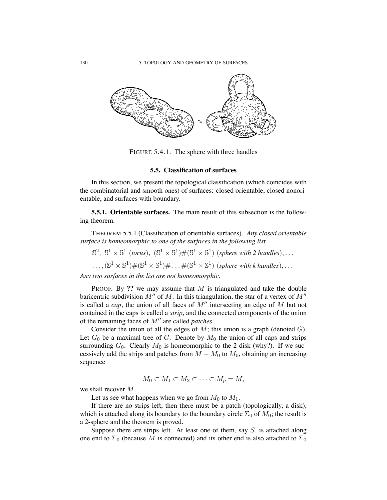

FIGURE 5.4.1. The sphere with three handles

# **5.5. Classification of surfaces**

In this section, we present the topological classification (which coincides with the combinatorial and smooth ones) of surfaces: closed orientable, closed nonorientable, and surfaces with boundary.

**5.5.1. Orientable surfaces.** The main result of this subsection is the following theorem.

THEOREM 5.5.1 (Classification of orientable surfaces). *Any closed orientable surface is homeomorphic to one of the surfaces in the following list*

 $\mathbb{S}^2$ ,  $\mathbb{S}^1 \times \mathbb{S}^1$  (*torus*),  $(\mathbb{S}^1 \times \mathbb{S}^1) \#(\mathbb{S}^1 \times \mathbb{S}^1)$  (*sphere with* 2 *handles*),...

 $\ldots$ ,  $(\mathbb{S}^1 \times \mathbb{S}^1) \# (\mathbb{S}^1 \times \mathbb{S}^1) \# \ldots \# (\mathbb{S}^1 \times \mathbb{S}^1)$  (*sphere with k handles*), ...

*Any two surfaces in the list are not homeomorphic.*

PROOF. By **??** we may assume that M is triangulated and take the double baricentric subdivision  $M''$  of M. In this triangulation, the star of a vertex of  $M''$ is called a *cap*, the union of all faces of  $M''$  intersecting an edge of  $M$  but not contained in the caps is called a *strip*, and the connected components of the union of the remaining faces of M!! are called *patches*.

Consider the union of all the edges of  $M$ ; this union is a graph (denoted  $G$ ). Let  $G_0$  be a maximal tree of G. Denote by  $M_0$  the union of all caps and strips surrounding  $G_0$ . Clearly  $M_0$  is homeomorphic to the 2-disk (why?). If we successively add the strips and patches from  $M - M_0$  to  $M_0$ , obtaining an increasing sequence

$$
M_0 \subset M_1 \subset M_2 \subset \cdots \subset M_p = M,
$$

we shall recover M.

Let us see what happens when we go from  $M_0$  to  $M_1$ .

If there are no strips left, then there must be a patch (topologically, a disk), which is attached along its boundary to the boundary circle  $\Sigma_0$  of  $M_0$ ; the result is a 2-sphere and the theorem is proved.

Suppose there are strips left. At least one of them, say  $S$ , is attached along one end to  $\Sigma_0$  (because M is connected) and its other end is also attached to  $\Sigma_0$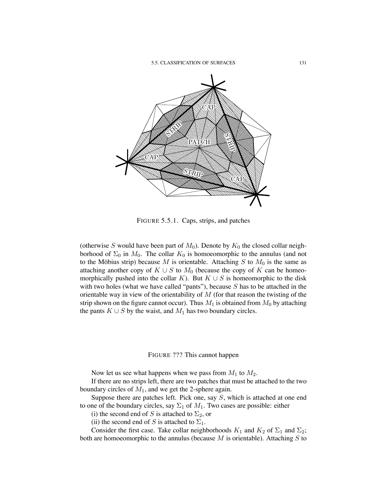

FIGURE 5.5.1. Caps, strips, and patches

(otherwise S would have been part of  $M_0$ ). Denote by  $K_0$  the closed collar neighborhood of  $\Sigma_0$  in  $M_0$ . The collar  $K_0$  is homoeomorphic to the annulus (and not to the Möbius strip) because M is orientable. Attaching S to  $M_0$  is the same as attaching another copy of  $K \cup S$  to  $M_0$  (because the copy of K can be homeomorphically pushed into the collar K). But  $K \cup S$  is homeomorphic to the disk with two holes (what we have called "pants"), because  $S$  has to be attached in the orientable way in view of the orientability of  $M$  (for that reason the twisting of the strip shown on the figure cannot occur). Thus  $M_1$  is obtained from  $M_0$  by attaching the pants  $K \cup S$  by the waist, and  $M_1$  has two boundary circles.

FIGURE ??? This cannot happen

Now let us see what happens when we pass from  $M_1$  to  $M_2$ .

If there are no strips left, there are two patches that must be attached to the two boundary circles of  $M_1$ , and we get the 2-sphere again.

Suppose there are patches left. Pick one, say S, which is attached at one end to one of the boundary circles, say  $\Sigma_1$  of  $M_1$ . Two cases are possible: either

(i) the second end of S is attached to  $\Sigma_2$ , or

(ii) the second end of S is attached to  $\Sigma_1$ .

Consider the first case. Take collar neighborhoods  $K_1$  and  $K_2$  of  $\Sigma_1$  and  $\Sigma_2$ ; both are homoeomorphic to the annulus (because  $M$  is orientable). Attaching  $S$  to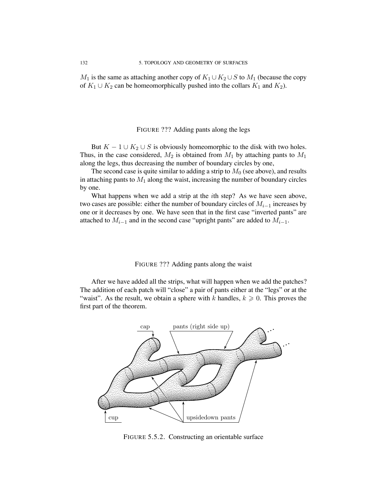$M_1$  is the same as attaching another copy of  $K_1 \cup K_2 \cup S$  to  $M_1$  (because the copy of  $K_1 \cup K_2$  can be homeomorphically pushed into the collars  $K_1$  and  $K_2$ ).

## FIGURE ??? Adding pants along the legs

But  $K - 1 \cup K_2 \cup S$  is obviously homeomorphic to the disk with two holes. Thus, in the case considered,  $M_2$  is obtained from  $M_1$  by attaching pants to  $M_1$ along the legs, thus decreasing the number of boundary circles by one,

The second case is quite similar to adding a strip to  $M_0$  (see above), and results in attaching pants to  $M_1$  along the waist, increasing the number of boundary circles by one.

What happens when we add a strip at the *i*th step? As we have seen above, two cases are possible: either the number of boundary circles of M*i*−<sup>1</sup> increases by one or it decreases by one. We have seen that in the first case "inverted pants" are attached to  $M_{i-1}$  and in the second case "upright pants" are added to  $M_{i-1}$ .

## FIGURE ??? Adding pants along the waist

After we have added all the strips, what will happen when we add the patches? The addition of each patch will "close" a pair of pants either at the "legs" or at the "waist". As the result, we obtain a sphere with k handles,  $k \geq 0$ . This proves the first part of the theorem.



FIGURE 5.5.2. Constructing an orientable surface